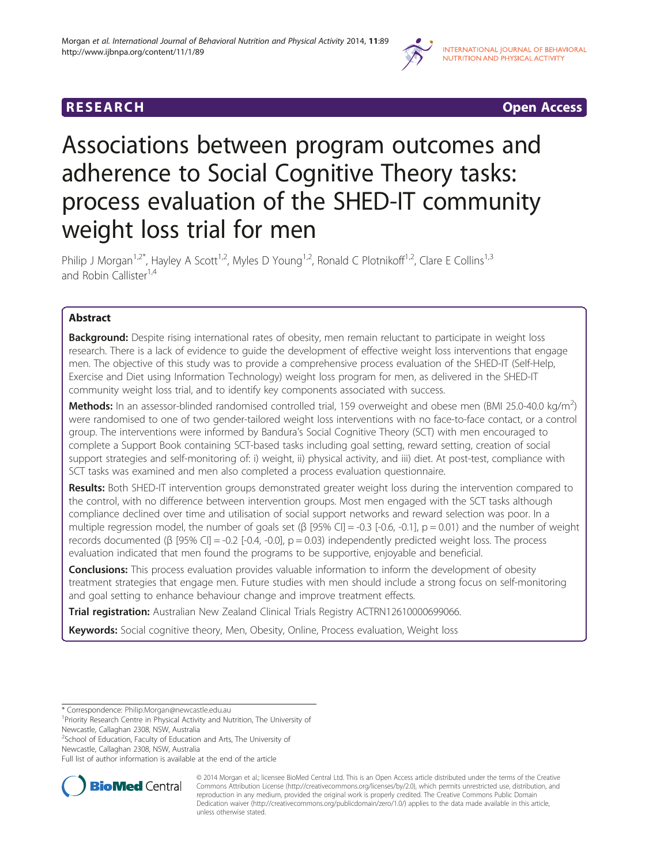

# **RESEARCH RESEARCH CONSUMING ACCESS**

# Associations between program outcomes and adherence to Social Cognitive Theory tasks: process evaluation of the SHED-IT community weight loss trial for men

Philip J Morgan<sup>1,2\*</sup>, Hayley A Scott<sup>1,2</sup>, Myles D Young<sup>1,2</sup>, Ronald C Plotnikoff<sup>1,2</sup>, Clare E Collins<sup>1,3</sup> and Robin Callister<sup>1,4</sup>

# Abstract

Background: Despite rising international rates of obesity, men remain reluctant to participate in weight loss research. There is a lack of evidence to guide the development of effective weight loss interventions that engage men. The objective of this study was to provide a comprehensive process evaluation of the SHED-IT (Self-Help, Exercise and Diet using Information Technology) weight loss program for men, as delivered in the SHED-IT community weight loss trial, and to identify key components associated with success.

Methods: In an assessor-blinded randomised controlled trial, 159 overweight and obese men (BMI 25.0-40.0 kg/m<sup>2</sup>) were randomised to one of two gender-tailored weight loss interventions with no face-to-face contact, or a control group. The interventions were informed by Bandura's Social Cognitive Theory (SCT) with men encouraged to complete a Support Book containing SCT-based tasks including goal setting, reward setting, creation of social support strategies and self-monitoring of: i) weight, ii) physical activity, and iii) diet. At post-test, compliance with SCT tasks was examined and men also completed a process evaluation questionnaire.

Results: Both SHED-IT intervention groups demonstrated greater weight loss during the intervention compared to the control, with no difference between intervention groups. Most men engaged with the SCT tasks although compliance declined over time and utilisation of social support networks and reward selection was poor. In a multiple regression model, the number of goals set ( $\beta$  [95% CI] = -0.3 [-0.6, -0.1], p = 0.01) and the number of weight records documented (β [95% CI] = -0.2 [-0.4, -0.0], p = 0.03) independently predicted weight loss. The process evaluation indicated that men found the programs to be supportive, enjoyable and beneficial.

**Conclusions:** This process evaluation provides valuable information to inform the development of obesity treatment strategies that engage men. Future studies with men should include a strong focus on self-monitoring and goal setting to enhance behaviour change and improve treatment effects.

Trial registration: Australian New Zealand Clinical Trials Registry [ACTRN12610000699066.](https://www.anzctr.org.au/Trial/Registration/TrialReview.aspx?id=335562)

Keywords: Social cognitive theory, Men, Obesity, Online, Process evaluation, Weight loss

<sup>2</sup>School of Education, Faculty of Education and Arts, The University of

Full list of author information is available at the end of the article



© 2014 Morgan et al.; licensee BioMed Central Ltd. This is an Open Access article distributed under the terms of the Creative Commons Attribution License [\(http://creativecommons.org/licenses/by/2.0\)](http://creativecommons.org/licenses/by/2.0), which permits unrestricted use, distribution, and reproduction in any medium, provided the original work is properly credited. The Creative Commons Public Domain Dedication waiver [\(http://creativecommons.org/publicdomain/zero/1.0/](http://creativecommons.org/publicdomain/zero/1.0/)) applies to the data made available in this article, unless otherwise stated.

<sup>\*</sup> Correspondence: [Philip.Morgan@newcastle.edu.au](mailto:Philip.Morgan@newcastle.edu.au) <sup>1</sup>

<sup>&</sup>lt;sup>1</sup> Priority Research Centre in Physical Activity and Nutrition, The University of Newcastle, Callaghan 2308, NSW, Australia

Newcastle, Callaghan 2308, NSW, Australia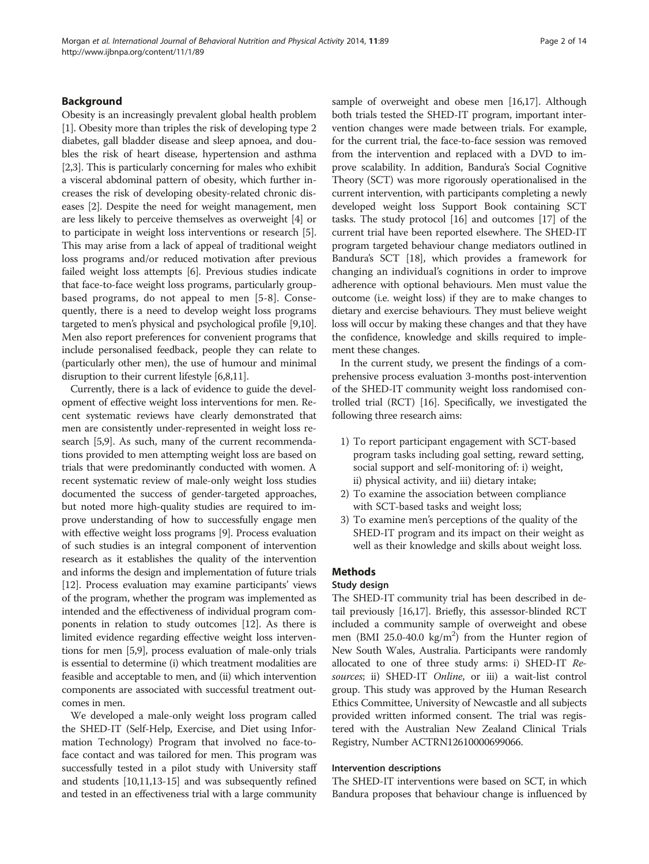#### Background

Obesity is an increasingly prevalent global health problem [[1\]](#page-12-0). Obesity more than triples the risk of developing type 2 diabetes, gall bladder disease and sleep apnoea, and doubles the risk of heart disease, hypertension and asthma [[2,3](#page-12-0)]. This is particularly concerning for males who exhibit a visceral abdominal pattern of obesity, which further increases the risk of developing obesity-related chronic diseases [[2\]](#page-12-0). Despite the need for weight management, men are less likely to perceive themselves as overweight [[4](#page-12-0)] or to participate in weight loss interventions or research [[5](#page-12-0)]. This may arise from a lack of appeal of traditional weight loss programs and/or reduced motivation after previous failed weight loss attempts [[6](#page-12-0)]. Previous studies indicate that face-to-face weight loss programs, particularly groupbased programs, do not appeal to men [\[5](#page-12-0)-[8\]](#page-12-0). Consequently, there is a need to develop weight loss programs targeted to men's physical and psychological profile [[9,10](#page-12-0)]. Men also report preferences for convenient programs that include personalised feedback, people they can relate to (particularly other men), the use of humour and minimal disruption to their current lifestyle [[6,8,11](#page-12-0)].

Currently, there is a lack of evidence to guide the development of effective weight loss interventions for men. Recent systematic reviews have clearly demonstrated that men are consistently under-represented in weight loss research [[5,9](#page-12-0)]. As such, many of the current recommendations provided to men attempting weight loss are based on trials that were predominantly conducted with women. A recent systematic review of male-only weight loss studies documented the success of gender-targeted approaches, but noted more high-quality studies are required to improve understanding of how to successfully engage men with effective weight loss programs [[9\]](#page-12-0). Process evaluation of such studies is an integral component of intervention research as it establishes the quality of the intervention and informs the design and implementation of future trials [[12](#page-12-0)]. Process evaluation may examine participants' views of the program, whether the program was implemented as intended and the effectiveness of individual program components in relation to study outcomes [\[12\]](#page-12-0). As there is limited evidence regarding effective weight loss interventions for men [[5,9\]](#page-12-0), process evaluation of male-only trials is essential to determine (i) which treatment modalities are feasible and acceptable to men, and (ii) which intervention components are associated with successful treatment outcomes in men.

We developed a male-only weight loss program called the SHED-IT (Self-Help, Exercise, and Diet using Information Technology) Program that involved no face-toface contact and was tailored for men. This program was successfully tested in a pilot study with University staff and students [\[10,11,13](#page-12-0)-[15](#page-12-0)] and was subsequently refined and tested in an effectiveness trial with a large community sample of overweight and obese men [[16,17](#page-12-0)]. Although both trials tested the SHED-IT program, important intervention changes were made between trials. For example, for the current trial, the face-to-face session was removed from the intervention and replaced with a DVD to improve scalability. In addition, Bandura's Social Cognitive Theory (SCT) was more rigorously operationalised in the current intervention, with participants completing a newly developed weight loss Support Book containing SCT tasks. The study protocol [\[16](#page-12-0)] and outcomes [\[17](#page-12-0)] of the current trial have been reported elsewhere. The SHED-IT program targeted behaviour change mediators outlined in Bandura's SCT [[18](#page-12-0)], which provides a framework for changing an individual's cognitions in order to improve adherence with optional behaviours. Men must value the outcome (i.e. weight loss) if they are to make changes to dietary and exercise behaviours. They must believe weight loss will occur by making these changes and that they have the confidence, knowledge and skills required to implement these changes.

In the current study, we present the findings of a comprehensive process evaluation 3-months post-intervention of the SHED-IT community weight loss randomised controlled trial (RCT) [[16](#page-12-0)]. Specifically, we investigated the following three research aims:

- 1) To report participant engagement with SCT-based program tasks including goal setting, reward setting, social support and self-monitoring of: i) weight, ii) physical activity, and iii) dietary intake;
- 2) To examine the association between compliance with SCT-based tasks and weight loss;
- 3) To examine men's perceptions of the quality of the SHED-IT program and its impact on their weight as well as their knowledge and skills about weight loss.

#### Methods

### Study design

The SHED-IT community trial has been described in detail previously [\[16,17](#page-12-0)]. Briefly, this assessor-blinded RCT included a community sample of overweight and obese men (BMI 25.0-40.0  $\text{kg/m}^2$ ) from the Hunter region of New South Wales, Australia. Participants were randomly allocated to one of three study arms: i) SHED-IT Resources; ii) SHED-IT Online, or iii) a wait-list control group. This study was approved by the Human Research Ethics Committee, University of Newcastle and all subjects provided written informed consent. The trial was registered with the Australian New Zealand Clinical Trials Registry, Number ACTRN12610000699066.

#### Intervention descriptions

The SHED-IT interventions were based on SCT, in which Bandura proposes that behaviour change is influenced by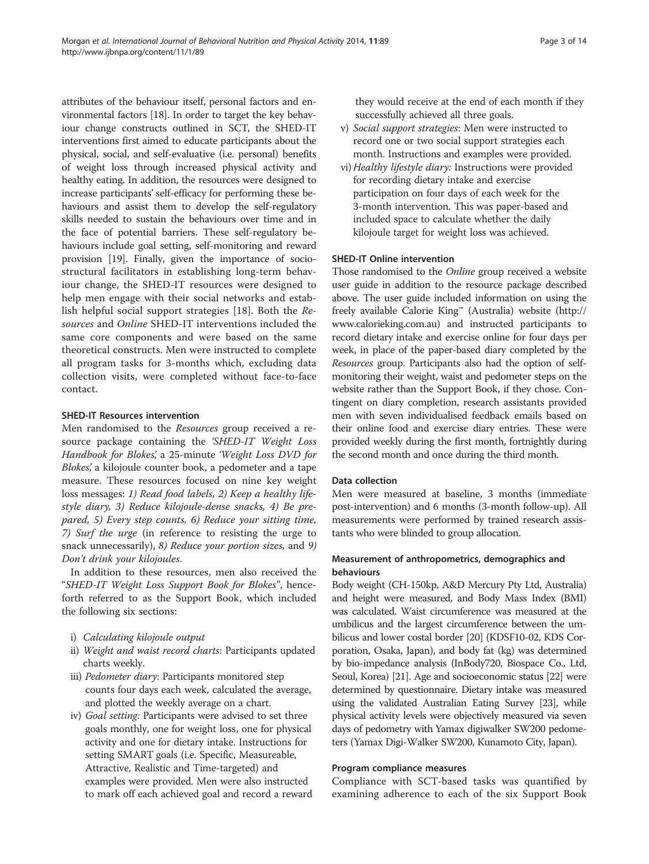attributes of the behaviour itself, personal factors and environmental factors [[18](#page-12-0)]. In order to target the key behaviour change constructs outlined in SCT, the SHED-IT interventions first aimed to educate participants about the physical, social, and self-evaluative (i.e. personal) benefits of weight loss through increased physical activity and healthy eating. In addition, the resources were designed to increase participants' self-efficacy for performing these behaviours and assist them to develop the self-regulatory skills needed to sustain the behaviours over time and in the face of potential barriers. These self-regulatory behaviours include goal setting, self-monitoring and reward provision [\[19](#page-12-0)]. Finally, given the importance of sociostructural facilitators in establishing long-term behaviour change, the SHED-IT resources were designed to help men engage with their social networks and establish helpful social support strategies [\[18](#page-12-0)]. Both the Resources and Online SHED-IT interventions included the same core components and were based on the same theoretical constructs. Men were instructed to complete all program tasks for 3-months which, excluding data collection visits, were completed without face-to-face contact.

#### SHED-IT Resources intervention

Men randomised to the Resources group received a resource package containing the 'SHED-IT Weight Loss Handbook for Blokes', a 25-minute 'Weight Loss DVD for Blokes', a kilojoule counter book, a pedometer and a tape measure. These resources focused on nine key weight loss messages: 1) Read food labels, 2) Keep a healthy lifestyle diary, 3) Reduce kilojoule-dense snacks, 4) Be prepared, 5) Every step counts, 6) Reduce your sitting time, 7) Surf the urge (in reference to resisting the urge to snack unnecessarily), 8) Reduce your portion sizes, and 9) Don't drink your kilojoules.

In addition to these resources, men also received the "SHED-IT Weight Loss Support Book for Blokes", henceforth referred to as the Support Book, which included the following six sections:

- i) Calculating kilojoule output
- ii) Weight and waist record charts: Participants updated charts weekly.
- iii) Pedometer diary: Participants monitored step counts four days each week, calculated the average, and plotted the weekly average on a chart.
- iv) Goal setting: Participants were advised to set three goals monthly, one for weight loss, one for physical activity and one for dietary intake. Instructions for setting SMART goals (i.e. Specific, Measureable, Attractive, Realistic and Time-targeted) and examples were provided. Men were also instructed to mark off each achieved goal and record a reward

they would receive at the end of each month if they successfully achieved all three goals.

- v) Social support strategies: Men were instructed to record one or two social support strategies each month. Instructions and examples were provided.
- vi) Healthy lifestyle diary: Instructions were provided for recording dietary intake and exercise participation on four days of each week for the 3-month intervention. This was paper-based and included space to calculate whether the daily kilojoule target for weight loss was achieved.

#### SHED-IT Online intervention

Those randomised to the *Online* group received a website user guide in addition to the resource package described above. The user guide included information on using the freely available Calorie King™ (Australia) website [\(http://](http://www.calorieking.com.au) [www.calorieking.com.au](http://www.calorieking.com.au)) and instructed participants to record dietary intake and exercise online for four days per week, in place of the paper-based diary completed by the Resources group. Participants also had the option of selfmonitoring their weight, waist and pedometer steps on the website rather than the Support Book, if they chose. Contingent on diary completion, research assistants provided men with seven individualised feedback emails based on their online food and exercise diary entries. These were provided weekly during the first month, fortnightly during the second month and once during the third month.

#### Data collection

Men were measured at baseline, 3 months (immediate post-intervention) and 6 months (3-month follow-up). All measurements were performed by trained research assistants who were blinded to group allocation.

# Measurement of anthropometrics, demographics and behaviours

Body weight (CH-150kp, A&D Mercury Pty Ltd, Australia) and height were measured, and Body Mass Index (BMI) was calculated. Waist circumference was measured at the umbilicus and the largest circumference between the umbilicus and lower costal border [\[20\]](#page-12-0) (KDSF10-02, KDS Corporation, Osaka, Japan), and body fat (kg) was determined by bio-impedance analysis (InBody720, Biospace Co., Ltd, Seoul, Korea) [[21](#page-12-0)]. Age and socioeconomic status [[22](#page-12-0)] were determined by questionnaire. Dietary intake was measured using the validated Australian Eating Survey [\[23\]](#page-12-0), while physical activity levels were objectively measured via seven days of pedometry with Yamax digiwalker SW200 pedometers (Yamax Digi-Walker SW200, Kunamoto City, Japan).

#### Program compliance measures

Compliance with SCT-based tasks was quantified by examining adherence to each of the six Support Book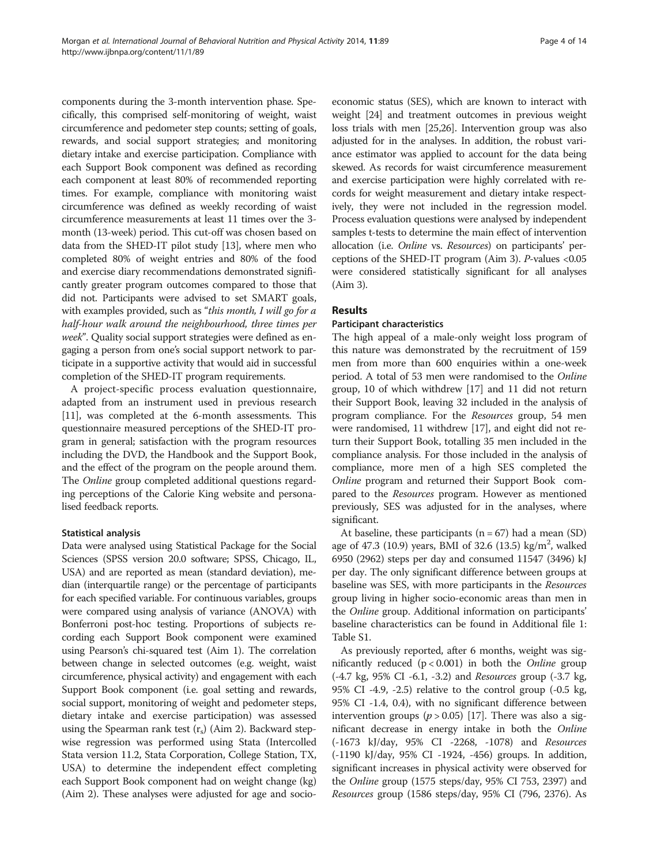components during the 3-month intervention phase. Specifically, this comprised self-monitoring of weight, waist circumference and pedometer step counts; setting of goals, rewards, and social support strategies; and monitoring dietary intake and exercise participation. Compliance with each Support Book component was defined as recording each component at least 80% of recommended reporting times. For example, compliance with monitoring waist circumference was defined as weekly recording of waist circumference measurements at least 11 times over the 3 month (13-week) period. This cut-off was chosen based on data from the SHED-IT pilot study [[13](#page-12-0)], where men who completed 80% of weight entries and 80% of the food and exercise diary recommendations demonstrated significantly greater program outcomes compared to those that did not. Participants were advised to set SMART goals, with examples provided, such as "this month, I will go for a half-hour walk around the neighbourhood, three times per week". Quality social support strategies were defined as engaging a person from one's social support network to participate in a supportive activity that would aid in successful completion of the SHED-IT program requirements.

A project-specific process evaluation questionnaire, adapted from an instrument used in previous research [[11](#page-12-0)], was completed at the 6-month assessments. This questionnaire measured perceptions of the SHED-IT program in general; satisfaction with the program resources including the DVD, the Handbook and the Support Book, and the effect of the program on the people around them. The Online group completed additional questions regarding perceptions of the Calorie King website and personalised feedback reports.

#### Statistical analysis

Data were analysed using Statistical Package for the Social Sciences (SPSS version 20.0 software; SPSS, Chicago, IL, USA) and are reported as mean (standard deviation), median (interquartile range) or the percentage of participants for each specified variable. For continuous variables, groups were compared using analysis of variance (ANOVA) with Bonferroni post-hoc testing. Proportions of subjects recording each Support Book component were examined using Pearson's chi-squared test (Aim 1). The correlation between change in selected outcomes (e.g. weight, waist circumference, physical activity) and engagement with each Support Book component (i.e. goal setting and rewards, social support, monitoring of weight and pedometer steps, dietary intake and exercise participation) was assessed using the Spearman rank test  $(r_s)$  (Aim 2). Backward stepwise regression was performed using Stata (Intercolled Stata version 11.2, Stata Corporation, College Station, TX, USA) to determine the independent effect completing each Support Book component had on weight change (kg) (Aim 2). These analyses were adjusted for age and socio-

economic status (SES), which are known to interact with weight [[24](#page-12-0)] and treatment outcomes in previous weight loss trials with men [\[25,26](#page-12-0)]. Intervention group was also adjusted for in the analyses. In addition, the robust variance estimator was applied to account for the data being skewed. As records for waist circumference measurement and exercise participation were highly correlated with records for weight measurement and dietary intake respectively, they were not included in the regression model. Process evaluation questions were analysed by independent samples t-tests to determine the main effect of intervention allocation (i.e. Online vs. Resources) on participants' perceptions of the SHED-IT program (Aim 3). P-values <0.05 were considered statistically significant for all analyses (Aim 3).

# Results

#### Participant characteristics

The high appeal of a male-only weight loss program of this nature was demonstrated by the recruitment of 159 men from more than 600 enquiries within a one-week period. A total of 53 men were randomised to the Online group, 10 of which withdrew [\[17\]](#page-12-0) and 11 did not return their Support Book, leaving 32 included in the analysis of program compliance. For the Resources group, 54 men were randomised, 11 withdrew [[17](#page-12-0)], and eight did not return their Support Book, totalling 35 men included in the compliance analysis. For those included in the analysis of compliance, more men of a high SES completed the Online program and returned their Support Book compared to the Resources program. However as mentioned previously, SES was adjusted for in the analyses, where significant.

At baseline, these participants ( $n = 67$ ) had a mean (SD) age of 47.3 (10.9) years, BMI of 32.6 (13.5) kg/m<sup>2</sup>, walked 6950 (2962) steps per day and consumed 11547 (3496) kJ per day. The only significant difference between groups at baseline was SES, with more participants in the Resources group living in higher socio-economic areas than men in the Online group. Additional information on participants' baseline characteristics can be found in Additional file [1](#page-11-0): Table S1.

As previously reported, after 6 months, weight was significantly reduced  $(p < 0.001)$  in both the *Online* group (-4.7 kg, 95% CI -6.1, -3.2) and Resources group (-3.7 kg, 95% CI -4.9, -2.5) relative to the control group (-0.5 kg, 95% CI -1.4, 0.4), with no significant difference between intervention groups ( $p > 0.05$ ) [\[17\]](#page-12-0). There was also a significant decrease in energy intake in both the Online (-1673 kJ/day, 95% CI -2268, -1078) and Resources (-1190 kJ/day, 95% CI -1924, -456) groups. In addition, significant increases in physical activity were observed for the Online group (1575 steps/day, 95% CI 753, 2397) and Resources group (1586 steps/day, 95% CI (796, 2376). As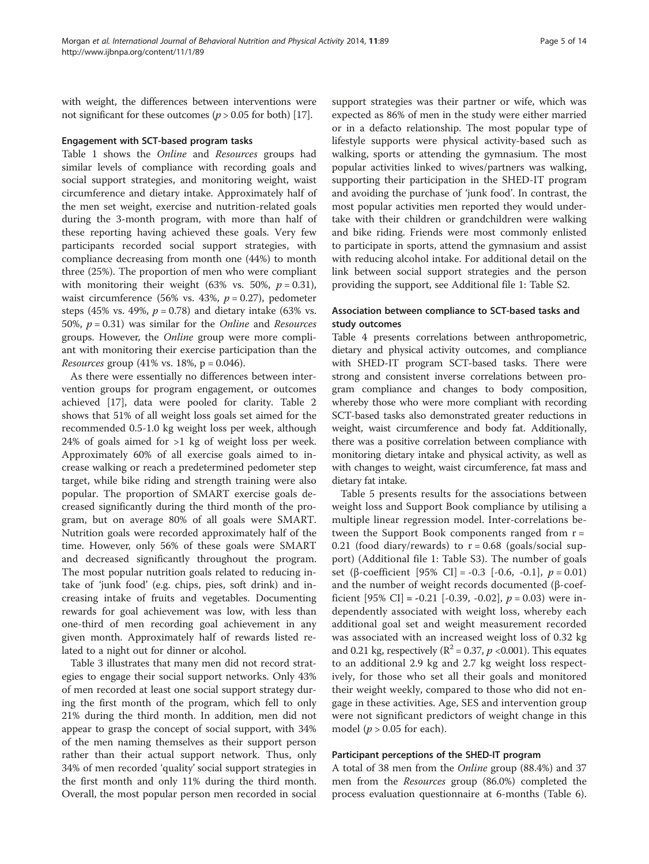with weight, the differences between interventions were not significant for these outcomes ( $p > 0.05$  for both) [\[17\]](#page-12-0).

#### Engagement with SCT-based program tasks

Table [1](#page-5-0) shows the Online and Resources groups had similar levels of compliance with recording goals and social support strategies, and monitoring weight, waist circumference and dietary intake. Approximately half of the men set weight, exercise and nutrition-related goals during the 3-month program, with more than half of these reporting having achieved these goals. Very few participants recorded social support strategies, with compliance decreasing from month one (44%) to month three (25%). The proportion of men who were compliant with monitoring their weight (63% vs. 50%,  $p = 0.31$ ), waist circumference (56% vs. 43%,  $p = 0.27$ ), pedometer steps (45% vs. 49%,  $p = 0.78$ ) and dietary intake (63% vs. 50%,  $p = 0.31$ ) was similar for the *Online* and *Resources* groups. However, the Online group were more compliant with monitoring their exercise participation than the *Resources* group (41% vs. 18%,  $p = 0.046$ ).

As there were essentially no differences between intervention groups for program engagement, or outcomes achieved [\[17](#page-12-0)], data were pooled for clarity. Table [2](#page-6-0) shows that 51% of all weight loss goals set aimed for the recommended 0.5-1.0 kg weight loss per week, although 24% of goals aimed for >1 kg of weight loss per week. Approximately 60% of all exercise goals aimed to increase walking or reach a predetermined pedometer step target, while bike riding and strength training were also popular. The proportion of SMART exercise goals decreased significantly during the third month of the program, but on average 80% of all goals were SMART. Nutrition goals were recorded approximately half of the time. However, only 56% of these goals were SMART and decreased significantly throughout the program. The most popular nutrition goals related to reducing intake of 'junk food' (e.g. chips, pies, soft drink) and increasing intake of fruits and vegetables. Documenting rewards for goal achievement was low, with less than one-third of men recording goal achievement in any given month. Approximately half of rewards listed related to a night out for dinner or alcohol.

Table [3](#page-7-0) illustrates that many men did not record strategies to engage their social support networks. Only 43% of men recorded at least one social support strategy during the first month of the program, which fell to only 21% during the third month. In addition, men did not appear to grasp the concept of social support, with 34% of the men naming themselves as their support person rather than their actual support network. Thus, only 34% of men recorded 'quality' social support strategies in the first month and only 11% during the third month. Overall, the most popular person men recorded in social

support strategies was their partner or wife, which was expected as 86% of men in the study were either married or in a defacto relationship. The most popular type of lifestyle supports were physical activity-based such as walking, sports or attending the gymnasium. The most popular activities linked to wives/partners was walking, supporting their participation in the SHED-IT program and avoiding the purchase of 'junk food'. In contrast, the most popular activities men reported they would undertake with their children or grandchildren were walking and bike riding. Friends were most commonly enlisted to participate in sports, attend the gymnasium and assist with reducing alcohol intake. For additional detail on the link between social support strategies and the person providing the support, see Additional file [1:](#page-11-0) Table S2.

# Association between compliance to SCT-based tasks and study outcomes

Table [4](#page-7-0) presents correlations between anthropometric, dietary and physical activity outcomes, and compliance with SHED-IT program SCT-based tasks. There were strong and consistent inverse correlations between program compliance and changes to body composition, whereby those who were more compliant with recording SCT-based tasks also demonstrated greater reductions in weight, waist circumference and body fat. Additionally, there was a positive correlation between compliance with monitoring dietary intake and physical activity, as well as with changes to weight, waist circumference, fat mass and dietary fat intake.

Table [5](#page-8-0) presents results for the associations between weight loss and Support Book compliance by utilising a multiple linear regression model. Inter-correlations between the Support Book components ranged from  $r =$ 0.21 (food diary/rewards) to  $r = 0.68$  (goals/social support) (Additional file [1](#page-11-0): Table S3). The number of goals set (β-coefficient [95% CI] = -0.3 [-0.6, -0.1],  $p = 0.01$ ) and the number of weight records documented (β-coefficient [95% CI] = -0.21 [-0.39, -0.02],  $p = 0.03$ ) were independently associated with weight loss, whereby each additional goal set and weight measurement recorded was associated with an increased weight loss of 0.32 kg and 0.21 kg, respectively ( $\mathbb{R}^2$  = 0.37, p < 0.001). This equates to an additional 2.9 kg and 2.7 kg weight loss respectively, for those who set all their goals and monitored their weight weekly, compared to those who did not engage in these activities. Age, SES and intervention group were not significant predictors of weight change in this model ( $p > 0.05$  for each).

#### Participant perceptions of the SHED-IT program

A total of 38 men from the Online group (88.4%) and 37 men from the Resources group (86.0%) completed the process evaluation questionnaire at 6-months (Table [6](#page-9-0)).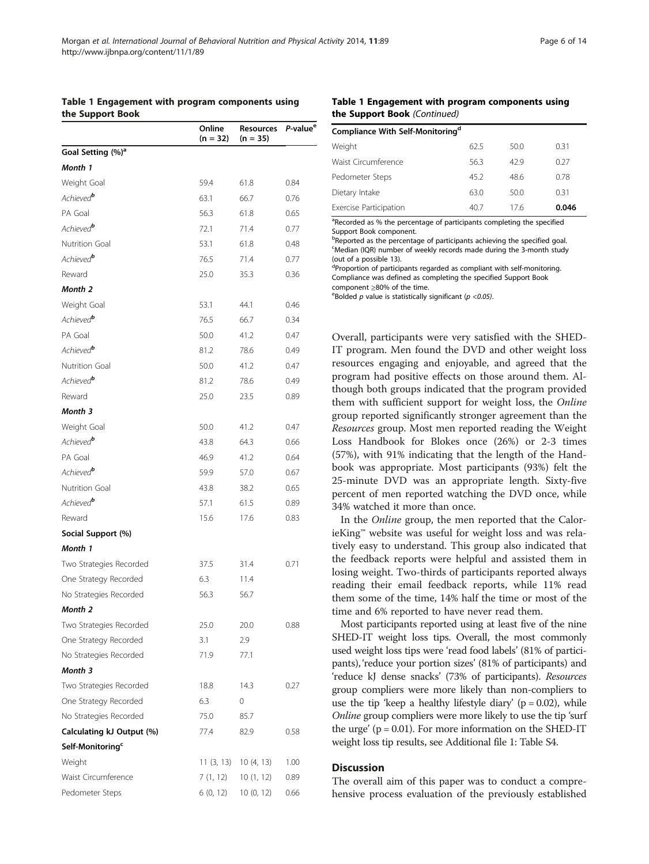<span id="page-5-0"></span>

|                               | Online<br>$(n = 32)$ | Resources<br>$(n = 35)$ | P-value <sup>e</sup> |
|-------------------------------|----------------------|-------------------------|----------------------|
| Goal Setting (%) <sup>a</sup> |                      |                         |                      |
| Month 1                       |                      |                         |                      |
| Weight Goal                   | 59.4                 | 61.8                    | 0.84                 |
| Achieved <sup>b</sup>         | 63.1                 | 66.7                    | 0.76                 |
| PA Goal                       | 56.3                 | 61.8                    | 0.65                 |
| Achieved <sup>o</sup>         | 72.1                 | 71.4                    | 0.77                 |
| <b>Nutrition Goal</b>         | 53.1                 | 61.8                    | 0.48                 |
| Achieved <sup>b</sup>         | 76.5                 | 71.4                    | 0.77                 |
| Reward                        | 25.0                 | 35.3                    | 0.36                 |
| Month 2                       |                      |                         |                      |
| Weight Goal                   | 53.1                 | 44.1                    | 0.46                 |
| Achieved <sup>b</sup>         | 76.5                 | 66.7                    | 0.34                 |
| PA Goal                       | 50.0                 | 41.2                    | 0.47                 |
| Achieved <sup>b</sup>         | 81.2                 | 78.6                    | 0.49                 |
| Nutrition Goal                | 50.0                 | 41.2                    | 0.47                 |
| Achieved <sup>b</sup>         | 81.2                 | 78.6                    | 0.49                 |
| Reward                        | 25.0                 | 23.5                    | 0.89                 |
| Month 3                       |                      |                         |                      |
| Weight Goal                   | 50.0                 | 41.2                    | 0.47                 |
| Achieved <sup>b</sup>         | 43.8                 | 64.3                    | 0.66                 |
| PA Goal                       | 46.9                 | 41.2                    | 0.64                 |
| Achieved <sup>b</sup>         | 59.9                 | 57.0                    | 0.67                 |
| <b>Nutrition Goal</b>         | 43.8                 | 38.2                    | 0.65                 |
| Achieved <sup>b</sup>         | 57.1                 | 61.5                    | 0.89                 |
| Reward                        | 15.6                 | 17.6                    | 0.83                 |
| Social Support (%)            |                      |                         |                      |
| Month 1                       |                      |                         |                      |
| Two Strategies Recorded       | 37.5                 | 31.4                    | 0.71                 |
| One Strategy Recorded         | 6.3                  | 11.4                    |                      |
| No Strategies Recorded        | 56.3                 | 56.7                    |                      |
| Month 2                       |                      |                         |                      |
| Two Strategies Recorded       | 25.0                 | 20.0                    | 0.88                 |
| One Strategy Recorded         | 3.1                  | 2.9                     |                      |
| No Strategies Recorded        | 71.9                 | 77.1                    |                      |
| Month 3                       |                      |                         |                      |
| Two Strategies Recorded       | 18.8                 | 14.3                    | 0.27                 |
| One Strategy Recorded         | 6.3                  | 0                       |                      |
| No Strategies Recorded        | 75.0                 | 85.7                    |                      |
| Calculating kJ Output (%)     | 77.4                 | 82.9                    | 0.58                 |
| Self-Monitoring <sup>c</sup>  |                      |                         |                      |
| Weight                        | 11(3, 13)            | 10 (4, 13)              | 1.00                 |
| Waist Circumference           | 7(1, 12)             | 10(1, 12)               | 0.89                 |
| Pedometer Steps               | 6 (0, 12)            | 10 (0, 12)              | 0.66                 |

#### Table 1 Engagement with program components using the Support Book (Continued)

| Compliance With Self-Monitoring <sup>d</sup> |      |      |       |
|----------------------------------------------|------|------|-------|
| Weight                                       | 62.5 | 50.0 | 0.31  |
| Waist Circumference                          | 56.3 | 42.9 | 0.27  |
| Pedometer Steps                              | 45.2 | 48.6 | 0.78  |
| Dietary Intake                               | 63.0 | 50.0 | 0.31  |
| Exercise Participation                       | 40.7 | 176  | 0.046 |

<sup>a</sup>Recorded as % the percentage of participants completing the specified Support Book component.

**bReported as the percentage of participants achieving the specified goal.** <sup>c</sup>Median (IQR) number of weekly records made during the 3-month study (out of a possible 13).

<sup>d</sup>Proportion of participants regarded as compliant with self-monitoring. Compliance was defined as completing the specified Support Book component  $≥80%$  of the time.

<sup>e</sup>Bolded *p* value is statistically significant ( $p < 0.05$ ).

Overall, participants were very satisfied with the SHED-IT program. Men found the DVD and other weight loss resources engaging and enjoyable, and agreed that the program had positive effects on those around them. Although both groups indicated that the program provided them with sufficient support for weight loss, the Online group reported significantly stronger agreement than the Resources group. Most men reported reading the Weight Loss Handbook for Blokes once (26%) or 2-3 times (57%), with 91% indicating that the length of the Handbook was appropriate. Most participants (93%) felt the 25-minute DVD was an appropriate length. Sixty-five percent of men reported watching the DVD once, while 34% watched it more than once.

In the Online group, the men reported that the CalorieKing™ website was useful for weight loss and was relatively easy to understand. This group also indicated that the feedback reports were helpful and assisted them in losing weight. Two-thirds of participants reported always reading their email feedback reports, while 11% read them some of the time, 14% half the time or most of the time and 6% reported to have never read them.

Most participants reported using at least five of the nine SHED-IT weight loss tips. Overall, the most commonly used weight loss tips were 'read food labels' (81% of participants), 'reduce your portion sizes' (81% of participants) and 'reduce kJ dense snacks' (73% of participants). Resources group compliers were more likely than non-compliers to use the tip 'keep a healthy lifestyle diary' ( $p = 0.02$ ), while Online group compliers were more likely to use the tip 'surf the urge'  $(p = 0.01)$ . For more information on the SHED-IT weight loss tip results, see Additional file [1](#page-11-0): Table S4.

#### **Discussion**

The overall aim of this paper was to conduct a comprehensive process evaluation of the previously established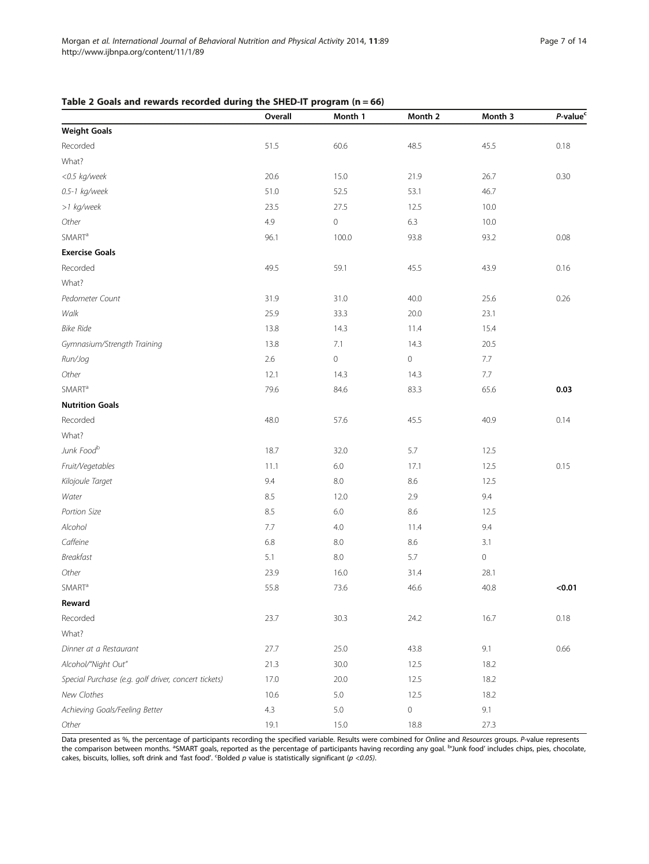# <span id="page-6-0"></span>Table 2 Goals and rewards recorded during the SHED-IT program  $(n = 66)$

|                                                      | Overall | Month 1             | Month 2     | Month 3 | P-value <sup>c</sup> |
|------------------------------------------------------|---------|---------------------|-------------|---------|----------------------|
| <b>Weight Goals</b>                                  |         |                     |             |         |                      |
| Recorded                                             | 51.5    | 60.6                | 48.5        | 45.5    | 0.18                 |
| What?                                                |         |                     |             |         |                      |
| <0.5 kg/week                                         | 20.6    | 15.0                | 21.9        | 26.7    | 0.30                 |
| 0.5-1 kg/week                                        | 51.0    | 52.5                | 53.1        | 46.7    |                      |
| >1 kg/week                                           | 23.5    | 27.5                | 12.5        | 10.0    |                      |
| Other                                                | 4.9     | $\mathsf{O}\xspace$ | 6.3         | 10.0    |                      |
| <b>SMART<sup>a</sup></b>                             | 96.1    | 100.0               | 93.8        | 93.2    | 0.08                 |
| <b>Exercise Goals</b>                                |         |                     |             |         |                      |
| Recorded                                             | 49.5    | 59.1                | 45.5        | 43.9    | 0.16                 |
| What?                                                |         |                     |             |         |                      |
| Pedometer Count                                      | 31.9    | 31.0                | 40.0        | 25.6    | 0.26                 |
| Walk                                                 | 25.9    | 33.3                | 20.0        | 23.1    |                      |
| <b>Bike Ride</b>                                     | 13.8    | 14.3                | 11.4        | 15.4    |                      |
| Gymnasium/Strength Training                          | 13.8    | 7.1                 | 14.3        | 20.5    |                      |
| Run/Jog                                              | 2.6     | $\mathsf{O}\xspace$ | $\mathbf 0$ | 7.7     |                      |
| Other                                                | 12.1    | 14.3                | 14.3        | $7.7\,$ |                      |
| <b>SMART<sup>a</sup></b>                             | 79.6    | 84.6                | 83.3        | 65.6    | 0.03                 |
| <b>Nutrition Goals</b>                               |         |                     |             |         |                      |
| Recorded                                             | 48.0    | 57.6                | 45.5        | 40.9    | 0.14                 |
| What?                                                |         |                     |             |         |                      |
| Junk Foodb                                           | 18.7    | 32.0                | 5.7         | 12.5    |                      |
| Fruit/Vegetables                                     | 11.1    | $6.0\,$             | 17.1        | 12.5    | 0.15                 |
| Kilojoule Target                                     | 9.4     | $8.0\,$             | 8.6         | 12.5    |                      |
| Water                                                | 8.5     | 12.0                | 2.9         | 9.4     |                      |
| Portion Size                                         | 8.5     | 6.0                 | 8.6         | 12.5    |                      |
| Alcohol                                              | $7.7\,$ | 4.0                 | 11.4        | 9.4     |                      |
| Caffeine                                             | 6.8     | 8.0                 | 8.6         | 3.1     |                      |
| <b>Breakfast</b>                                     | 5.1     | 8.0                 | 5.7         | 0       |                      |
| Other                                                | 23.9    | 16.0                | 31.4        | 28.1    |                      |
| <b>SMART<sup>a</sup></b>                             | 55.8    | 73.6                | 46.6        | 40.8    | < 0.01               |
| Reward                                               |         |                     |             |         |                      |
| Recorded                                             | 23.7    | 30.3                | 24.2        | 16.7    | 0.18                 |
| What?                                                |         |                     |             |         |                      |
| Dinner at a Restaurant                               | 27.7    | 25.0                | 43.8        | 9.1     | 0.66                 |
| Alcohol/"Night Out"                                  | 21.3    | 30.0                | 12.5        | 18.2    |                      |
| Special Purchase (e.g. golf driver, concert tickets) | 17.0    | 20.0                | 12.5        | 18.2    |                      |
| New Clothes                                          | 10.6    | 5.0                 | 12.5        | 18.2    |                      |
| Achieving Goals/Feeling Better                       | 4.3     | 5.0                 | $\mathbf 0$ | 9.1     |                      |
| Other                                                | 19.1    | 15.0                | $18.8\,$    | 27.3    |                      |

Data presented as %, the percentage of participants recording the specified variable. Results were combined for Online and Resources groups. P-value represents the comparison between months. <sup>a</sup>SMART goals, reported as the percentage of participants having recording any goal. <sup>b</sup>Junk food' includes chips, pies, chocolate, cakes, biscuits, lollies, soft drink and 'fast food'. 'Bolded p value is statistically significant (p <0.05).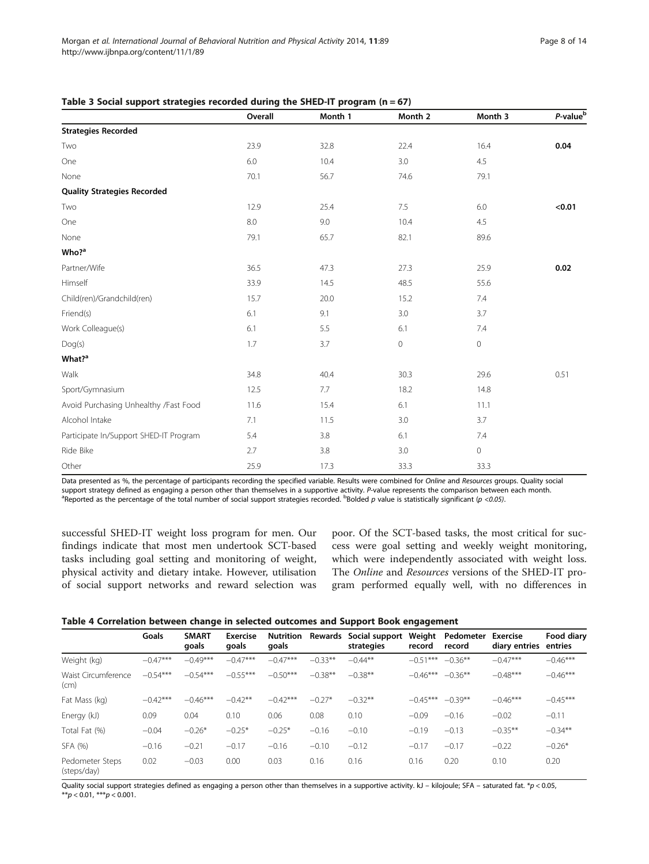|                                        | Overall | Month 1 | Month 2             | Month 3     | P-value <sup>b</sup> |
|----------------------------------------|---------|---------|---------------------|-------------|----------------------|
| <b>Strategies Recorded</b>             |         |         |                     |             |                      |
| Two                                    | 23.9    | 32.8    | 22.4                | 16.4        | 0.04                 |
| One                                    | 6.0     | 10.4    | 3.0                 | 4.5         |                      |
| None                                   | 70.1    | 56.7    | 74.6                | 79.1        |                      |
| <b>Quality Strategies Recorded</b>     |         |         |                     |             |                      |
| Two                                    | 12.9    | 25.4    | 7.5                 | 6.0         | < 0.01               |
| One                                    | 8.0     | 9.0     | 10.4                | 4.5         |                      |
| None                                   | 79.1    | 65.7    | 82.1                | 89.6        |                      |
| Who? <sup>a</sup>                      |         |         |                     |             |                      |
| Partner/Wife                           | 36.5    | 47.3    | 27.3                | 25.9        | $0.02\,$             |
| Himself                                | 33.9    | 14.5    | 48.5                | 55.6        |                      |
| Child(ren)/Grandchild(ren)             | 15.7    | 20.0    | 15.2                | 7.4         |                      |
| Friend(s)                              | 6.1     | 9.1     | 3.0                 | 3.7         |                      |
| Work Colleague(s)                      | 6.1     | 5.5     | 6.1                 | 7.4         |                      |
| Dog(s)                                 | 1.7     | 3.7     | $\mathsf{O}\xspace$ | $\mathbf 0$ |                      |
| What? <sup>a</sup>                     |         |         |                     |             |                      |
| Walk                                   | 34.8    | 40.4    | 30.3                | 29.6        | 0.51                 |
| Sport/Gymnasium                        | 12.5    | 7.7     | 18.2                | 14.8        |                      |
| Avoid Purchasing Unhealthy /Fast Food  | 11.6    | 15.4    | $6.1$               | 11.1        |                      |
| Alcohol Intake                         | 7.1     | 11.5    | 3.0                 | 3.7         |                      |
| Participate In/Support SHED-IT Program | 5.4     | 3.8     | 6.1                 | 7.4         |                      |
| Ride Bike                              | 2.7     | 3.8     | 3.0                 | $\mathbb O$ |                      |
| Other                                  | 25.9    | 17.3    | 33.3                | 33.3        |                      |

<span id="page-7-0"></span>

|  |  |  | Table 3 Social support strategies recorded during the SHED-IT program ( $n = 67$ ) |  |
|--|--|--|------------------------------------------------------------------------------------|--|
|--|--|--|------------------------------------------------------------------------------------|--|

Data presented as %, the percentage of participants recording the specified variable. Results were combined for Online and Resources groups. Quality social support strategy defined as engaging a person other than themselves in a supportive activity. P-value represents the comparison between each month. Reported as the percentage of the total number of social support strategies recorded.  $B$ Bolded p value is statistically significant (p <0.05).

successful SHED-IT weight loss program for men. Our findings indicate that most men undertook SCT-based tasks including goal setting and monitoring of weight, physical activity and dietary intake. However, utilisation of social support networks and reward selection was

poor. Of the SCT-based tasks, the most critical for success were goal setting and weekly weight monitoring, which were independently associated with weight loss. The Online and Resources versions of the SHED-IT program performed equally well, with no differences in

|  | Table 4 Correlation between change in selected outcomes and Support Book engagement |  |  |
|--|-------------------------------------------------------------------------------------|--|--|
|--|-------------------------------------------------------------------------------------|--|--|

|                                | Goals      | <b>SMART</b><br>goals | <b>Exercise</b><br>qoals | <b>Nutrition</b><br>goals | Rewards   | Social support<br>strategies | Weight<br>record | Pedometer<br>record | <b>Exercise</b><br>diary entries | Food diary<br>entries |
|--------------------------------|------------|-----------------------|--------------------------|---------------------------|-----------|------------------------------|------------------|---------------------|----------------------------------|-----------------------|
| Weight (kg)                    | $-0.47***$ | $-0.49***$            | $-0.47***$               | $-0.47***$                | $-0.33**$ | $-0.44**$                    | $-0.51***$       | $-0.36***$          | $-0.47***$                       | $-0.46***$            |
| Waist Circumference<br>(cm)    | $-0.54***$ | $-0.54***$            | $-0.55***$               | $-0.50***$                | $-0.38**$ | $-0.38**$                    | $-0.46***$       | $-0.36***$          | $-0.48***$                       | $-0.46***$            |
| Fat Mass (kg)                  | $-0.42***$ | $-0.46***$            | $-0.42**$                | $-0.42***$                | $-0.27*$  | $-0.32**$                    | $-0.45***$       | $-0.39**$           | $-0.46***$                       | $-0.45***$            |
| Energy (kJ)                    | 0.09       | 0.04                  | 0.10                     | 0.06                      | 0.08      | 0.10                         | $-0.09$          | $-0.16$             | $-0.02$                          | $-0.11$               |
| Total Fat (%)                  | $-0.04$    | $-0.26*$              | $-0.25*$                 | $-0.25*$                  | $-0.16$   | $-0.10$                      | $-0.19$          | $-0.13$             | $-0.35***$                       | $-0.34**$             |
| SFA (%)                        | $-0.16$    | $-0.21$               | $-0.17$                  | $-0.16$                   | $-0.10$   | $-0.12$                      | $-0.17$          | $-0.17$             | $-0.22$                          | $-0.26*$              |
| Pedometer Steps<br>(steps/day) | 0.02       | $-0.03$               | 0.00                     | 0.03                      | 0.16      | 0.16                         | 0.16             | 0.20                | 0.10                             | 0.20                  |

Quality social support strategies defined as engaging a person other than themselves in a supportive activity. kJ – kilojoule; SFA – saturated fat. \*p < 0.05, \*\* $p < 0.01$ , \*\*\* $p < 0.001$ .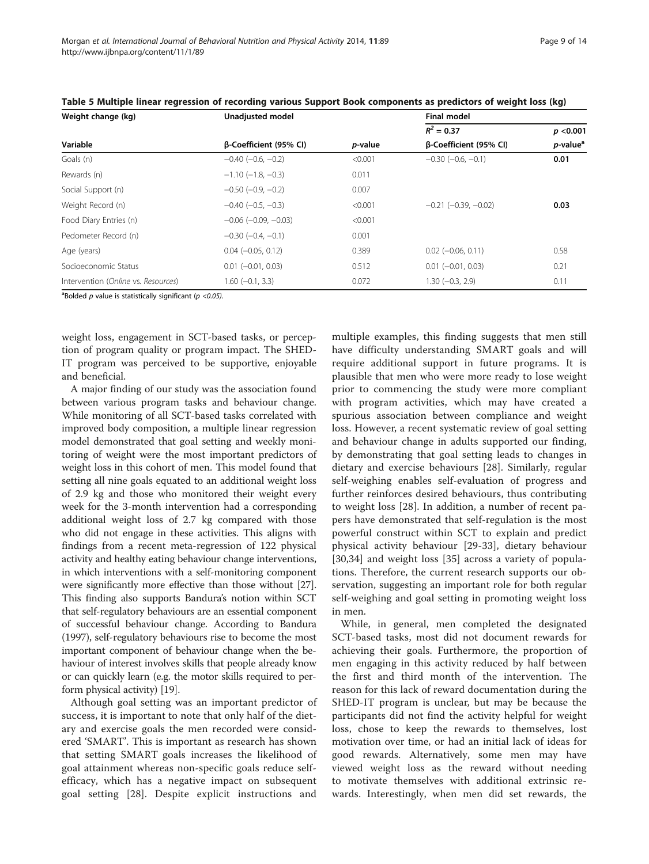| Weight change (kg)                  | Unadjusted model              |                 |                          |                              |
|-------------------------------------|-------------------------------|-----------------|--------------------------|------------------------------|
|                                     |                               |                 | $R^2 = 0.37$             | p < 0.001                    |
| Variable                            | β-Coefficient (95% CI)        | <i>p</i> -value | β-Coefficient (95% CI)   | <i>p</i> -value <sup>a</sup> |
| Goals (n)                           | $-0.40$ ( $-0.6, -0.2$ )      | < 0.001         | $-0.30$ $(-0.6, -0.1)$   | 0.01                         |
| Rewards (n)                         | $-1.10$ ( $-1.8, -0.3$ )      | 0.011           |                          |                              |
| Social Support (n)                  | $-0.50$ ( $-0.9$ , $-0.2$ )   | 0.007           |                          |                              |
| Weight Record (n)                   | $-0.40$ ( $-0.5, -0.3$ )      | < 0.001         | $-0.21$ $(-0.39, -0.02)$ | 0.03                         |
| Food Diary Entries (n)              | $-0.06$ ( $-0.09$ , $-0.03$ ) | < 0.001         |                          |                              |
| Pedometer Record (n)                | $-0.30$ ( $-0.4$ , $-0.1$ )   | 0.001           |                          |                              |
| Age (years)                         | $0.04 (-0.05, 0.12)$          | 0.389           | $0.02$ (-0.06, 0.11)     | 0.58                         |
| Socioeconomic Status                | $0.01$ $(-0.01, 0.03)$        | 0.512           | $0.01$ $(-0.01, 0.03)$   | 0.21                         |
| Intervention (Online vs. Resources) | $1.60 (-0.1, 3.3)$            | 0.072           | $1.30 (-0.3, 2.9)$       | 0.11                         |

<span id="page-8-0"></span>

|  |  |  | Table 5 Multiple linear regression of recording various Support Book components as predictors of weight loss (kg) |  |
|--|--|--|-------------------------------------------------------------------------------------------------------------------|--|
|--|--|--|-------------------------------------------------------------------------------------------------------------------|--|

<sup>a</sup>Bolded  $p$  value is statistically significant ( $p < 0.05$ ).

weight loss, engagement in SCT-based tasks, or perception of program quality or program impact. The SHED-IT program was perceived to be supportive, enjoyable and beneficial.

A major finding of our study was the association found between various program tasks and behaviour change. While monitoring of all SCT-based tasks correlated with improved body composition, a multiple linear regression model demonstrated that goal setting and weekly monitoring of weight were the most important predictors of weight loss in this cohort of men. This model found that setting all nine goals equated to an additional weight loss of 2.9 kg and those who monitored their weight every week for the 3-month intervention had a corresponding additional weight loss of 2.7 kg compared with those who did not engage in these activities. This aligns with findings from a recent meta-regression of 122 physical activity and healthy eating behaviour change interventions, in which interventions with a self-monitoring component were significantly more effective than those without [[27](#page-12-0)]. This finding also supports Bandura's notion within SCT that self-regulatory behaviours are an essential component of successful behaviour change. According to Bandura (1997), self-regulatory behaviours rise to become the most important component of behaviour change when the behaviour of interest involves skills that people already know or can quickly learn (e.g. the motor skills required to perform physical activity) [\[19\]](#page-12-0).

Although goal setting was an important predictor of success, it is important to note that only half of the dietary and exercise goals the men recorded were considered 'SMART'. This is important as research has shown that setting SMART goals increases the likelihood of goal attainment whereas non-specific goals reduce selfefficacy, which has a negative impact on subsequent goal setting [[28](#page-12-0)]. Despite explicit instructions and

multiple examples, this finding suggests that men still have difficulty understanding SMART goals and will require additional support in future programs. It is plausible that men who were more ready to lose weight prior to commencing the study were more compliant with program activities, which may have created a spurious association between compliance and weight loss. However, a recent systematic review of goal setting and behaviour change in adults supported our finding, by demonstrating that goal setting leads to changes in dietary and exercise behaviours [\[28](#page-12-0)]. Similarly, regular self-weighing enables self-evaluation of progress and further reinforces desired behaviours, thus contributing to weight loss [[28\]](#page-12-0). In addition, a number of recent papers have demonstrated that self-regulation is the most powerful construct within SCT to explain and predict physical activity behaviour [[29-](#page-12-0)[33\]](#page-13-0), dietary behaviour [[30](#page-12-0)[,34](#page-13-0)] and weight loss [\[35\]](#page-13-0) across a variety of populations. Therefore, the current research supports our observation, suggesting an important role for both regular self-weighing and goal setting in promoting weight loss in men.

While, in general, men completed the designated SCT-based tasks, most did not document rewards for achieving their goals. Furthermore, the proportion of men engaging in this activity reduced by half between the first and third month of the intervention. The reason for this lack of reward documentation during the SHED-IT program is unclear, but may be because the participants did not find the activity helpful for weight loss, chose to keep the rewards to themselves, lost motivation over time, or had an initial lack of ideas for good rewards. Alternatively, some men may have viewed weight loss as the reward without needing to motivate themselves with additional extrinsic rewards. Interestingly, when men did set rewards, the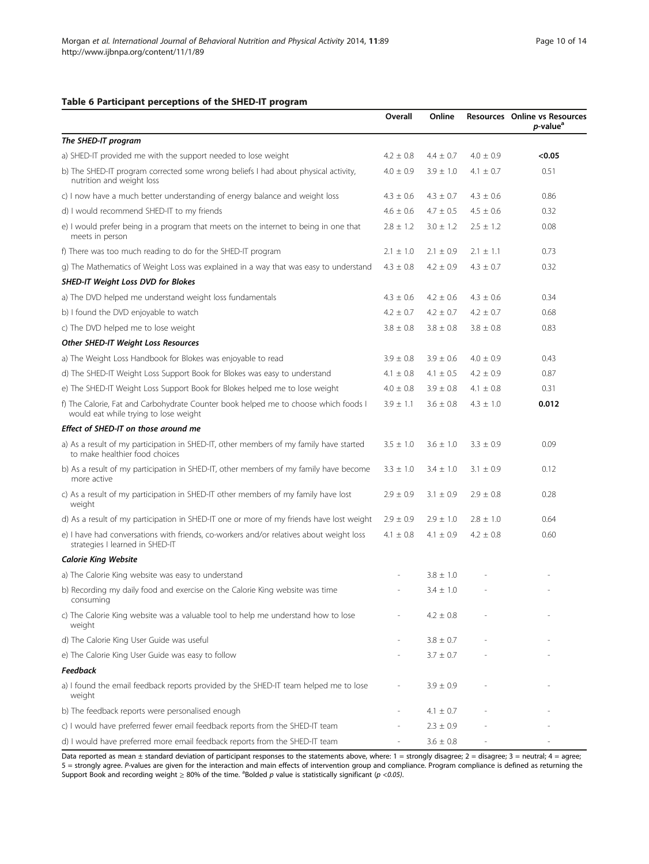#### <span id="page-9-0"></span>Table 6 Participant perceptions of the SHED-IT program

|                                                                                                                              | Overall       | Online        |               | Resources Online vs Resources<br><i>p</i> -value <sup>a</sup> |
|------------------------------------------------------------------------------------------------------------------------------|---------------|---------------|---------------|---------------------------------------------------------------|
| The SHED-IT program                                                                                                          |               |               |               |                                                               |
| a) SHED-IT provided me with the support needed to lose weight                                                                | $4.2 \pm 0.8$ | $4.4 \pm 0.7$ | $4.0 \pm 0.9$ | < 0.05                                                        |
| b) The SHED-IT program corrected some wrong beliefs I had about physical activity,<br>nutrition and weight loss              | $4.0 \pm 0.9$ | $3.9 \pm 1.0$ | 4.1 $\pm$ 0.7 | 0.51                                                          |
| c) I now have a much better understanding of energy balance and weight loss                                                  | $4.3 \pm 0.6$ | $4.3 \pm 0.7$ | $4.3 \pm 0.6$ | 0.86                                                          |
| d) I would recommend SHED-IT to my friends                                                                                   | $4.6 \pm 0.6$ | $4.7 \pm 0.5$ | $4.5 \pm 0.6$ | 0.32                                                          |
| e) I would prefer being in a program that meets on the internet to being in one that<br>meets in person                      | $2.8 \pm 1.2$ | $3.0 \pm 1.2$ | $2.5 \pm 1.2$ | 0.08                                                          |
| f) There was too much reading to do for the SHED-IT program                                                                  | $2.1 \pm 1.0$ | $2.1 \pm 0.9$ | $2.1 \pm 1.1$ | 0.73                                                          |
| g) The Mathematics of Weight Loss was explained in a way that was easy to understand                                         | $4.3 \pm 0.8$ | $4.2 \pm 0.9$ | $4.3 \pm 0.7$ | 0.32                                                          |
| <b>SHED-IT Weight Loss DVD for Blokes</b>                                                                                    |               |               |               |                                                               |
| a) The DVD helped me understand weight loss fundamentals                                                                     | $4.3 \pm 0.6$ | $4.2 \pm 0.6$ | $4.3 \pm 0.6$ | 0.34                                                          |
| b) I found the DVD enjoyable to watch                                                                                        | $4.2 \pm 0.7$ | $4.2 \pm 0.7$ | $4.2 \pm 0.7$ | 0.68                                                          |
| c) The DVD helped me to lose weight                                                                                          | $3.8 \pm 0.8$ | $3.8 \pm 0.8$ | $3.8 \pm 0.8$ | 0.83                                                          |
| Other SHED-IT Weight Loss Resources                                                                                          |               |               |               |                                                               |
| a) The Weight Loss Handbook for Blokes was enjoyable to read                                                                 | $3.9 \pm 0.8$ | $3.9 \pm 0.6$ | $4.0 \pm 0.9$ | 0.43                                                          |
| d) The SHED-IT Weight Loss Support Book for Blokes was easy to understand                                                    | $4.1 \pm 0.8$ | $4.1 \pm 0.5$ | $4.2 \pm 0.9$ | 0.87                                                          |
| e) The SHED-IT Weight Loss Support Book for Blokes helped me to lose weight                                                  | $4.0 \pm 0.8$ | $3.9 \pm 0.8$ | 4.1 $\pm$ 0.8 | 0.31                                                          |
| f) The Calorie, Fat and Carbohydrate Counter book helped me to choose which foods I<br>would eat while trying to lose weight | $3.9 \pm 1.1$ | $3.6 \pm 0.8$ | $4.3 \pm 1.0$ | 0.012                                                         |
| Effect of SHED-IT on those around me                                                                                         |               |               |               |                                                               |
| a) As a result of my participation in SHED-IT, other members of my family have started<br>to make healthier food choices     | $3.5 \pm 1.0$ | $3.6 \pm 1.0$ | $3.3 \pm 0.9$ | 0.09                                                          |
| b) As a result of my participation in SHED-IT, other members of my family have become<br>more active                         | $3.3 \pm 1.0$ | $3.4 \pm 1.0$ | $3.1 \pm 0.9$ | 0.12                                                          |
| c) As a result of my participation in SHED-IT other members of my family have lost<br>weight                                 | $2.9 \pm 0.9$ | $3.1 \pm 0.9$ | $2.9 \pm 0.8$ | 0.28                                                          |
| d) As a result of my participation in SHED-IT one or more of my friends have lost weight                                     | $2.9 \pm 0.9$ | $2.9 \pm 1.0$ | $2.8 \pm 1.0$ | 0.64                                                          |
| e) I have had conversations with friends, co-workers and/or relatives about weight loss<br>strategies I learned in SHED-IT   | $4.1 \pm 0.8$ | $4.1 \pm 0.9$ | $4.2 \pm 0.8$ | 0.60                                                          |
| <b>Calorie King Website</b>                                                                                                  |               |               |               |                                                               |
| a) The Calorie King website was easy to understand                                                                           |               | $3.8 \pm 1.0$ |               |                                                               |
| b) Recording my daily food and exercise on the Calorie King website was time<br>consuming                                    |               | $3.4 \pm 1.0$ |               |                                                               |
| c) The Calorie King website was a valuable tool to help me understand how to lose<br>weight                                  |               | $4.2 \pm 0.8$ |               |                                                               |
| d) The Calorie King User Guide was useful                                                                                    |               | $3.8 \pm 0.7$ |               |                                                               |
| e) The Calorie King User Guide was easy to follow                                                                            |               | $3.7 \pm 0.7$ |               |                                                               |
| <b>Feedback</b>                                                                                                              |               |               |               |                                                               |
| a) I found the email feedback reports provided by the SHED-IT team helped me to lose<br>weight                               |               | $3.9 \pm 0.9$ |               |                                                               |
| b) The feedback reports were personalised enough                                                                             |               | $4.1 \pm 0.7$ |               |                                                               |
| c) I would have preferred fewer email feedback reports from the SHED-IT team                                                 |               | $2.3 \pm 0.9$ |               |                                                               |
| d) I would have preferred more email feedback reports from the SHED-IT team                                                  |               | $3.6 \pm 0.8$ |               |                                                               |

Data reported as mean ± standard deviation of participant responses to the statements above, where: 1 = strongly disagree; 2 = disagree; 3 = neutral; 4 = agree; 5 = strongly agree. P-values are given for the interaction and main effects of intervention group and compliance. Program compliance is defined as returning the Support Book and recording weight  $\geq 80\%$  of the time. <sup>a</sup>Bolded p value is statistically significant (p <0.05).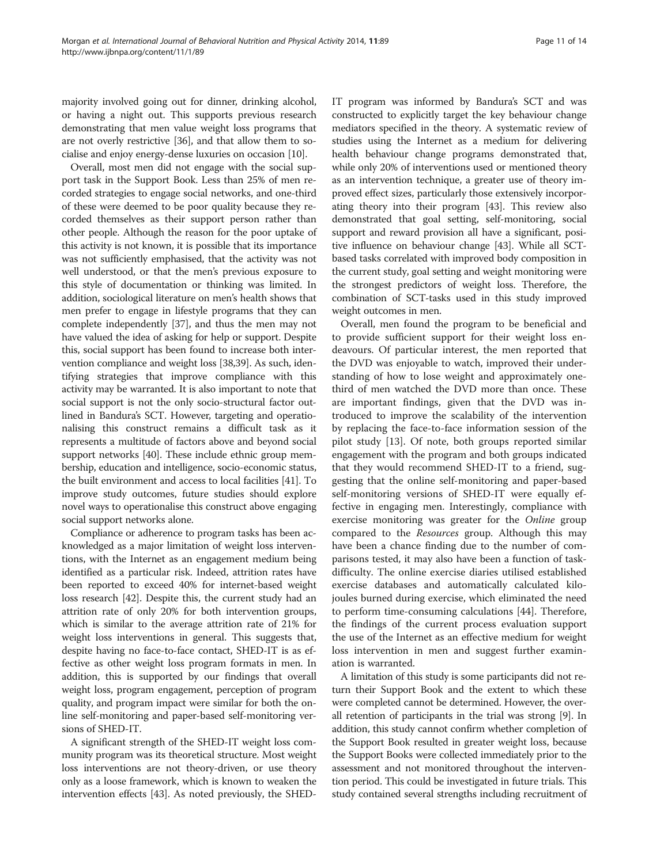majority involved going out for dinner, drinking alcohol, or having a night out. This supports previous research demonstrating that men value weight loss programs that are not overly restrictive [[36](#page-13-0)], and that allow them to socialise and enjoy energy-dense luxuries on occasion [\[10\]](#page-12-0).

Overall, most men did not engage with the social support task in the Support Book. Less than 25% of men recorded strategies to engage social networks, and one-third of these were deemed to be poor quality because they recorded themselves as their support person rather than other people. Although the reason for the poor uptake of this activity is not known, it is possible that its importance was not sufficiently emphasised, that the activity was not well understood, or that the men's previous exposure to this style of documentation or thinking was limited. In addition, sociological literature on men's health shows that men prefer to engage in lifestyle programs that they can complete independently [\[37](#page-13-0)], and thus the men may not have valued the idea of asking for help or support. Despite this, social support has been found to increase both intervention compliance and weight loss [\[38,39\]](#page-13-0). As such, identifying strategies that improve compliance with this activity may be warranted. It is also important to note that social support is not the only socio-structural factor outlined in Bandura's SCT. However, targeting and operationalising this construct remains a difficult task as it represents a multitude of factors above and beyond social support networks [[40](#page-13-0)]. These include ethnic group membership, education and intelligence, socio-economic status, the built environment and access to local facilities [[41](#page-13-0)]. To improve study outcomes, future studies should explore novel ways to operationalise this construct above engaging social support networks alone.

Compliance or adherence to program tasks has been acknowledged as a major limitation of weight loss interventions, with the Internet as an engagement medium being identified as a particular risk. Indeed, attrition rates have been reported to exceed 40% for internet-based weight loss research [\[42\]](#page-13-0). Despite this, the current study had an attrition rate of only 20% for both intervention groups, which is similar to the average attrition rate of 21% for weight loss interventions in general. This suggests that, despite having no face-to-face contact, SHED-IT is as effective as other weight loss program formats in men. In addition, this is supported by our findings that overall weight loss, program engagement, perception of program quality, and program impact were similar for both the online self-monitoring and paper-based self-monitoring versions of SHED-IT.

A significant strength of the SHED-IT weight loss community program was its theoretical structure. Most weight loss interventions are not theory-driven, or use theory only as a loose framework, which is known to weaken the intervention effects [\[43\]](#page-13-0). As noted previously, the SHED- IT program was informed by Bandura's SCT and was constructed to explicitly target the key behaviour change mediators specified in the theory. A systematic review of studies using the Internet as a medium for delivering health behaviour change programs demonstrated that, while only 20% of interventions used or mentioned theory as an intervention technique, a greater use of theory improved effect sizes, particularly those extensively incorporating theory into their program [[43](#page-13-0)]. This review also demonstrated that goal setting, self-monitoring, social support and reward provision all have a significant, positive influence on behaviour change [[43](#page-13-0)]. While all SCTbased tasks correlated with improved body composition in the current study, goal setting and weight monitoring were the strongest predictors of weight loss. Therefore, the combination of SCT-tasks used in this study improved weight outcomes in men.

Overall, men found the program to be beneficial and to provide sufficient support for their weight loss endeavours. Of particular interest, the men reported that the DVD was enjoyable to watch, improved their understanding of how to lose weight and approximately onethird of men watched the DVD more than once. These are important findings, given that the DVD was introduced to improve the scalability of the intervention by replacing the face-to-face information session of the pilot study [\[13](#page-12-0)]. Of note, both groups reported similar engagement with the program and both groups indicated that they would recommend SHED-IT to a friend, suggesting that the online self-monitoring and paper-based self-monitoring versions of SHED-IT were equally effective in engaging men. Interestingly, compliance with exercise monitoring was greater for the Online group compared to the Resources group. Although this may have been a chance finding due to the number of comparisons tested, it may also have been a function of taskdifficulty. The online exercise diaries utilised established exercise databases and automatically calculated kilojoules burned during exercise, which eliminated the need to perform time-consuming calculations [[44](#page-13-0)]. Therefore, the findings of the current process evaluation support the use of the Internet as an effective medium for weight loss intervention in men and suggest further examination is warranted.

A limitation of this study is some participants did not return their Support Book and the extent to which these were completed cannot be determined. However, the overall retention of participants in the trial was strong [\[9](#page-12-0)]. In addition, this study cannot confirm whether completion of the Support Book resulted in greater weight loss, because the Support Books were collected immediately prior to the assessment and not monitored throughout the intervention period. This could be investigated in future trials. This study contained several strengths including recruitment of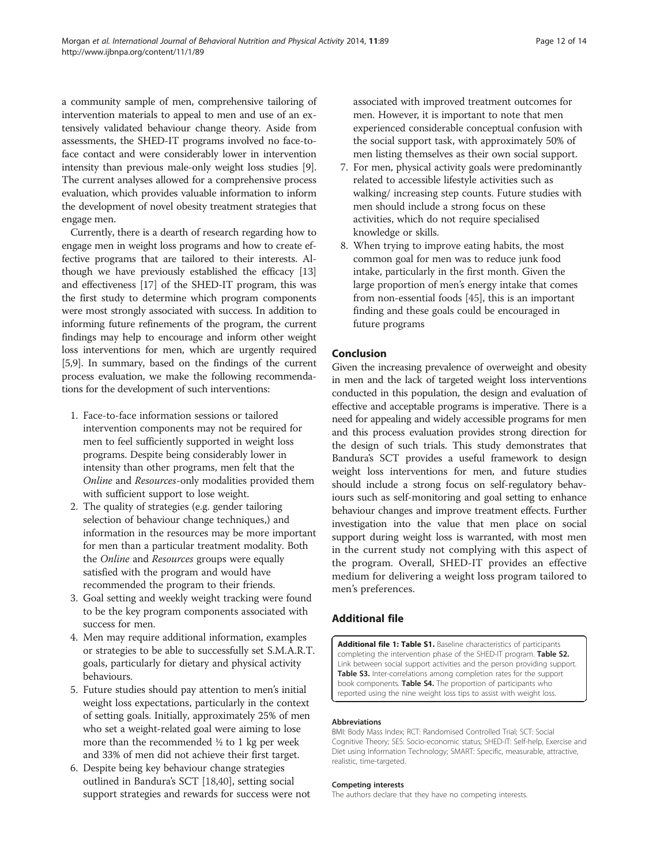<span id="page-11-0"></span>a community sample of men, comprehensive tailoring of intervention materials to appeal to men and use of an extensively validated behaviour change theory. Aside from assessments, the SHED-IT programs involved no face-toface contact and were considerably lower in intervention intensity than previous male-only weight loss studies [[9](#page-12-0)]. The current analyses allowed for a comprehensive process evaluation, which provides valuable information to inform the development of novel obesity treatment strategies that engage men.

Currently, there is a dearth of research regarding how to engage men in weight loss programs and how to create effective programs that are tailored to their interests. Although we have previously established the efficacy [[13](#page-12-0)] and effectiveness [[17](#page-12-0)] of the SHED-IT program, this was the first study to determine which program components were most strongly associated with success. In addition to informing future refinements of the program, the current findings may help to encourage and inform other weight loss interventions for men, which are urgently required [[5,9](#page-12-0)]. In summary, based on the findings of the current process evaluation, we make the following recommendations for the development of such interventions:

- 1. Face-to-face information sessions or tailored intervention components may not be required for men to feel sufficiently supported in weight loss programs. Despite being considerably lower in intensity than other programs, men felt that the Online and Resources-only modalities provided them with sufficient support to lose weight.
- 2. The quality of strategies (e.g. gender tailoring selection of behaviour change techniques,) and information in the resources may be more important for men than a particular treatment modality. Both the Online and Resources groups were equally satisfied with the program and would have recommended the program to their friends.
- 3. Goal setting and weekly weight tracking were found to be the key program components associated with success for men.
- 4. Men may require additional information, examples or strategies to be able to successfully set S.M.A.R.T. goals, particularly for dietary and physical activity behaviours.
- 5. Future studies should pay attention to men's initial weight loss expectations, particularly in the context of setting goals. Initially, approximately 25% of men who set a weight-related goal were aiming to lose more than the recommended  $\frac{1}{2}$  to 1 kg per week and 33% of men did not achieve their first target.
- 6. Despite being key behaviour change strategies outlined in Bandura's SCT [[18](#page-12-0)[,40\]](#page-13-0), setting social support strategies and rewards for success were not

associated with improved treatment outcomes for men. However, it is important to note that men experienced considerable conceptual confusion with the social support task, with approximately 50% of men listing themselves as their own social support.

- 7. For men, physical activity goals were predominantly related to accessible lifestyle activities such as walking/ increasing step counts. Future studies with men should include a strong focus on these activities, which do not require specialised knowledge or skills.
- 8. When trying to improve eating habits, the most common goal for men was to reduce junk food intake, particularly in the first month. Given the large proportion of men's energy intake that comes from non-essential foods [\[45\]](#page-13-0), this is an important finding and these goals could be encouraged in future programs

# Conclusion

Given the increasing prevalence of overweight and obesity in men and the lack of targeted weight loss interventions conducted in this population, the design and evaluation of effective and acceptable programs is imperative. There is a need for appealing and widely accessible programs for men and this process evaluation provides strong direction for the design of such trials. This study demonstrates that Bandura's SCT provides a useful framework to design weight loss interventions for men, and future studies should include a strong focus on self-regulatory behaviours such as self-monitoring and goal setting to enhance behaviour changes and improve treatment effects. Further investigation into the value that men place on social support during weight loss is warranted, with most men in the current study not complying with this aspect of the program. Overall, SHED-IT provides an effective medium for delivering a weight loss program tailored to men's preferences.

# Additional file

[Additional file 1: Table S1.](http://www.biomedcentral.com/content/supplementary/12966_2014_89_MOESM1_ESM.doc) Baseline characteristics of participants completing the intervention phase of the SHED-IT program. Table S2. Link between social support activities and the person providing support. Table S3. Inter-correlations among completion rates for the support book components. Table S4. The proportion of participants who reported using the nine weight loss tips to assist with weight loss.

#### Abbreviations

BMI: Body Mass Index; RCT: Randomised Controlled Trial; SCT: Social Cognitive Theory; SES: Socio-economic status; SHED-IT: Self-help, Exercise and Diet using Information Technology; SMART: Specific, measurable, attractive, realistic, time-targeted.

#### Competing interests

The authors declare that they have no competing interests.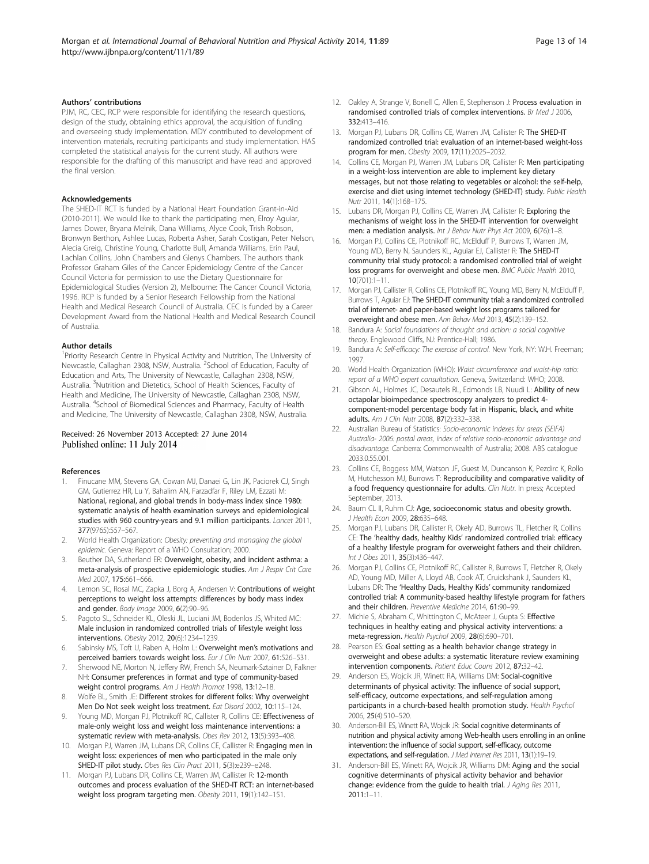#### <span id="page-12-0"></span>Authors' contributions

PJM, RC, CEC, RCP were responsible for identifying the research questions, design of the study, obtaining ethics approval, the acquisition of funding and overseeing study implementation. MDY contributed to development of intervention materials, recruiting participants and study implementation. HAS completed the statistical analysis for the current study. All authors were responsible for the drafting of this manuscript and have read and approved the final version.

#### Acknowledgements

The SHED-IT RCT is funded by a National Heart Foundation Grant-in-Aid (2010-2011). We would like to thank the participating men, Elroy Aguiar, James Dower, Bryana Melnik, Dana Williams, Alyce Cook, Trish Robson, Bronwyn Berthon, Ashlee Lucas, Roberta Asher, Sarah Costigan, Peter Nelson, Alecia Greig, Christine Young, Charlotte Bull, Amanda Williams, Erin Paul, Lachlan Collins, John Chambers and Glenys Chambers. The authors thank Professor Graham Giles of the Cancer Epidemiology Centre of the Cancer Council Victoria for permission to use the Dietary Questionnaire for Epidemiological Studies (Version 2), Melbourne: The Cancer Council Victoria, 1996. RCP is funded by a Senior Research Fellowship from the National Health and Medical Research Council of Australia. CEC is funded by a Career Development Award from the National Health and Medical Research Council of Australia.

#### Author details

<sup>1</sup> Priority Research Centre in Physical Activity and Nutrition, The University of Newcastle, Callaghan 2308, NSW, Australia. <sup>2</sup>School of Education, Faculty of Education and Arts, The University of Newcastle, Callaghan 2308, NSW, Australia. <sup>3</sup>Nutrition and Dietetics, School of Health Sciences, Faculty of Health and Medicine, The University of Newcastle, Callaghan 2308, NSW, Australia. <sup>4</sup>School of Biomedical Sciences and Pharmacy, Faculty of Health and Medicine, The University of Newcastle, Callaghan 2308, NSW, Australia.

#### Received: 26 November 2013 Accepted: 27 June 2014 Published online: 11 July 2014

#### References

- 1. Finucane MM, Stevens GA, Cowan MJ, Danaei G, Lin JK, Paciorek CJ, Singh GM, Gutierrez HR, Lu Y, Bahalim AN, Farzadfar F, Riley LM, Ezzati M: National, regional, and global trends in body-mass index since 1980: systematic analysis of health examination surveys and epidemiological studies with 960 country-years and 9.1 million participants. Lancet 2011, 377(9765):557–567.
- 2. World Health Organization: Obesity: preventing and managing the global epidemic. Geneva: Report of a WHO Consultation; 2000.
- 3. Beuther DA, Sutherland ER: Overweight, obesity, and incident asthma: a meta-analysis of prospective epidemiologic studies. Am J Respir Crit Care Med 2007, 175:661–666.
- 4. Lemon SC, Rosal MC, Zapka J, Borg A, Andersen V: Contributions of weight perceptions to weight loss attempts: differences by body mass index and gender. Body Image 2009, 6(2):90–96.
- 5. Pagoto SL, Schneider KL, Oleski JL, Luciani JM, Bodenlos JS, Whited MC: Male inclusion in randomized controlled trials of lifestyle weight loss interventions. Obesity 2012, 20(6):1234–1239.
- 6. Sabinsky MS, Toft U, Raben A, Holm L: Overweight men's motivations and perceived barriers towards weight loss. Eur J Clin Nutr 2007, 61:526–531.
- 7. Sherwood NE, Morton N, Jeffery RW, French SA, Neumark-Sztainer D, Falkner NH: Consumer preferences in format and type of community-based weight control programs. Am J Health Promot 1998, 13:12–18.
- 8. Wolfe BL, Smith JE: Different strokes for different folks: Why overweight Men Do Not seek weight loss treatment. Eat Disord 2002, 10:115–124.
- Young MD, Morgan PJ, Plotnikoff RC, Callister R, Collins CE: Effectiveness of male-only weight loss and weight loss maintenance interventions: a systematic review with meta-analysis. Obes Rev 2012, 13(5):393–408.
- 10. Morgan PJ, Warren JM, Lubans DR, Collins CE, Callister R: Engaging men in weight loss: experiences of men who participated in the male only SHED-IT pilot study. Obes Res Clin Pract 2011, 5(3):e239–e248.
- 11. Morgan PJ, Lubans DR, Collins CE, Warren JM, Callister R: 12-month outcomes and process evaluation of the SHED-IT RCT: an internet-based weight loss program targeting men. Obesity 2011, 19(1):142–151.
- 12. Oakley A, Strange V, Bonell C, Allen E, Stephenson J: Process evaluation in randomised controlled trials of complex interventions. Br Med J 2006, 332:413–416.
- 13. Morgan PJ, Lubans DR, Collins CE, Warren JM, Callister R: The SHED-IT randomized controlled trial: evaluation of an internet-based weight-loss program for men. Obesity 2009, 17(11):2025–2032.
- 14. Collins CE, Morgan PJ, Warren JM, Lubans DR, Callister R: Men participating in a weight-loss intervention are able to implement key dietary messages, but not those relating to vegetables or alcohol: the self-help, exercise and diet using internet technology (SHED-IT) study. Public Health Nutr 2011, 14(1):168–175.
- 15. Lubans DR, Morgan PJ, Collins CE, Warren JM. Callister R: Exploring the mechanisms of weight loss in the SHED-IT intervention for overweight men: a mediation analysis. Int J Behav Nutr Phys Act 2009, 6(76):1-8.
- 16. Morgan PJ, Collins CE, Plotnikoff RC, McElduff P, Burrows T, Warren JM, Young MD, Berry N, Saunders KL, Aguiar EJ, Callister R: The SHED-IT community trial study protocol: a randomised controlled trial of weight loss programs for overweight and obese men. BMC Public Health 2010,  $10(701) \cdot 1 - 11$
- 17. Morgan PJ, Callister R, Collins CE, Plotnikoff RC, Young MD, Berry N, McElduff P, Burrows T, Aguiar EJ: The SHED-IT community trial: a randomized controlled trial of internet- and paper-based weight loss programs tailored for overweight and obese men. Ann Behav Med 2013, 45(2):139–152.
- 18. Bandura A: Social foundations of thought and action: a social cognitive theory. Englewood Cliffs, NJ: Prentice-Hall; 1986.
- 19. Bandura A: Self-efficacy: The exercise of control. New York, NY: W.H. Freeman; 1997.
- 20. World Health Organization (WHO): Waist circumference and waist-hip ratio: report of a WHO expert consultation. Geneva, Switzerland: WHO; 2008.
- 21. Gibson AL, Holmes JC, Desautels RL, Edmonds LB, Nuudi L: Ability of new octapolar bioimpedance spectroscopy analyzers to predict 4 component-model percentage body fat in Hispanic, black, and white adults. Am J Clin Nutr 2008, 87(2):332–338.
- 22. Australian Bureau of Statistics: Socio-economic indexes for areas (SEIFA) Australia- 2006: postal areas, index of relative socio-economic advantage and disadvantage. Canberra: Commonwealth of Australia; 2008. ABS catalogue 2033.0.55.001.
- 23. Collins CE, Boggess MM, Watson JF, Guest M, Duncanson K, Pezdirc K, Rollo M, Hutchesson MJ, Burrows T: Reproducibility and comparative validity of a food frequency questionnaire for adults. Clin Nutr. In press; Accepted September, 2013.
- 24. Baum CL II, Ruhm CJ: Age, socioeconomic status and obesity growth. J Health Econ 2009, 28:635-648.
- 25. Morgan PJ, Lubans DR, Callister R, Okely AD, Burrows TL, Fletcher R, Collins CE: The 'healthy dads, healthy Kids' randomized controlled trial: efficacy of a healthy lifestyle program for overweight fathers and their children. Int J Obes 2011, 35(3):436–447.
- 26. Morgan PJ, Collins CE, Plotnikoff RC, Callister R, Burrows T, Fletcher R, Okely AD, Young MD, Miller A, Lloyd AB, Cook AT, Cruickshank J, Saunders KL, Lubans DR: The 'Healthy Dads, Healthy Kids' community randomized controlled trial: A community-based healthy lifestyle program for fathers and their children. Preventive Medicine 2014, 61:90–99.
- 27. Michie S, Abraham C, Whittington C, McAteer J, Gupta S: Effective techniques in healthy eating and physical activity interventions: a meta-regression. Health Psychol 2009, 28(6):690–701.
- 28. Pearson ES: Goal setting as a health behavior change strategy in overweight and obese adults: a systematic literature review examining intervention components. Patient Educ Couns 2012, 87:32–42.
- 29. Anderson ES, Wojcik JR, Winett RA, Williams DM: Social-cognitive determinants of physical activity: The influence of social support, self-efficacy, outcome expectations, and self-regulation among participants in a church-based health promotion study. Health Psychol 2006, 25(4):510–520.
- 30. Anderson-Bill ES, Winett RA, Wojcik JR: Social cognitive determinants of nutrition and physical activity among Web-health users enrolling in an online intervention: the influence of social support, self-efficacy, outcome expectations, and self-regulation. J Med Internet Res 2011, 13(1):19-19.
- 31. Anderson-Bill ES, Winett RA, Wojcik JR, Williams DM: Aging and the social cognitive determinants of physical activity behavior and behavior change: evidence from the guide to health trial. J Aging Res 2011, 2011:1–11.